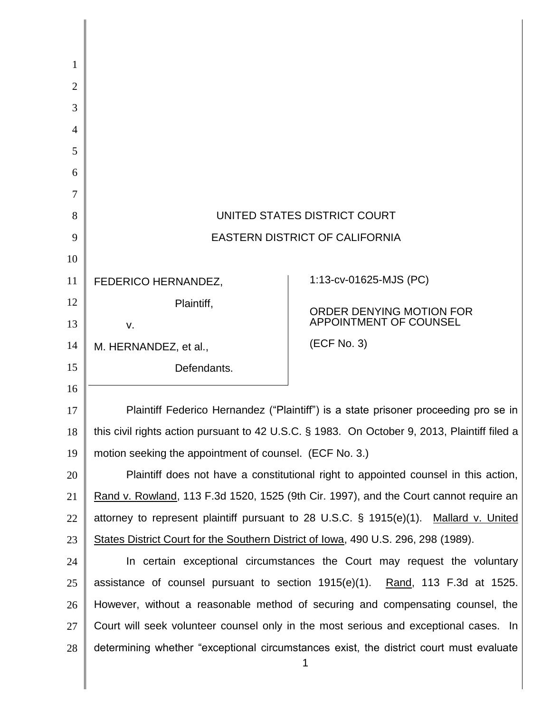| 1              |                                                                                              |                          |
|----------------|----------------------------------------------------------------------------------------------|--------------------------|
| $\overline{2}$ |                                                                                              |                          |
| 3              |                                                                                              |                          |
| $\overline{4}$ |                                                                                              |                          |
| 5              |                                                                                              |                          |
| 6              |                                                                                              |                          |
| 7              |                                                                                              |                          |
| 8              | UNITED STATES DISTRICT COURT                                                                 |                          |
| 9              | <b>EASTERN DISTRICT OF CALIFORNIA</b>                                                        |                          |
| 10             |                                                                                              |                          |
| 11             | FEDERICO HERNANDEZ,                                                                          | 1:13-cv-01625-MJS (PC)   |
| 12             | Plaintiff,                                                                                   | ORDER DENYING MOTION FOR |
| 13             | V.                                                                                           | APPOINTMENT OF COUNSEL   |
| 14             | M. HERNANDEZ, et al.,                                                                        | (ECF No. 3)              |
| 15             | Defendants.                                                                                  |                          |
| 16             |                                                                                              |                          |
| 17             | Plaintiff Federico Hernandez ("Plaintiff") is a state prisoner proceeding pro se in          |                          |
| 18             | this civil rights action pursuant to 42 U.S.C. § 1983. On October 9, 2013, Plaintiff filed a |                          |
| 19             | motion seeking the appointment of counsel. (ECF No. 3.)                                      |                          |
| 20             | Plaintiff does not have a constitutional right to appointed counsel in this action,          |                          |
| 21             | Rand v. Rowland, 113 F.3d 1520, 1525 (9th Cir. 1997), and the Court cannot require an        |                          |
| 22             | attorney to represent plaintiff pursuant to 28 U.S.C. § 1915(e)(1). Mallard v. United        |                          |
| 23             | States District Court for the Southern District of Iowa, 490 U.S. 296, 298 (1989).           |                          |
| 24             | In certain exceptional circumstances the Court may request the voluntary                     |                          |
| 25             | assistance of counsel pursuant to section $1915(e)(1)$ . Rand, 113 F.3d at 1525.             |                          |
| 26             | However, without a reasonable method of securing and compensating counsel, the               |                          |
| 27             | Court will seek volunteer counsel only in the most serious and exceptional cases. In         |                          |
| 28             | determining whether "exceptional circumstances exist, the district court must evaluate       |                          |
|                |                                                                                              |                          |